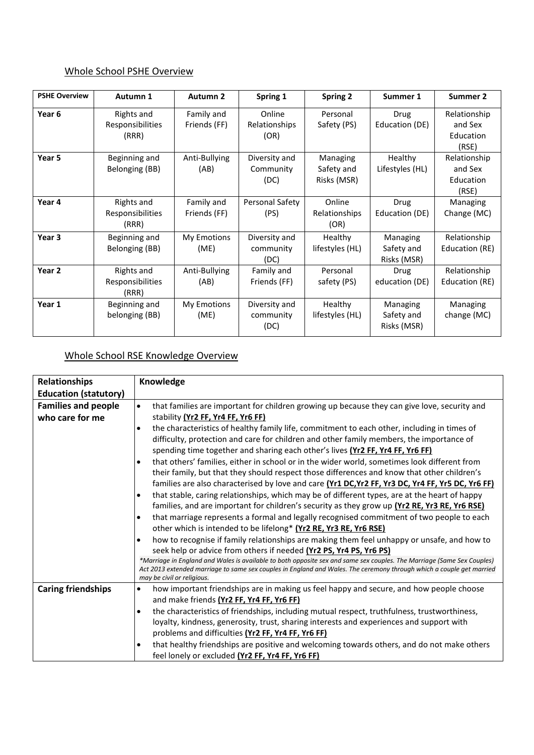## Whole School PSHE Overview

| <b>PSHE Overview</b> | Autumn 1                                | Autumn 2                   | Spring 1                           | <b>Spring 2</b>                        | Summer 1                              | Summer 2                                      |
|----------------------|-----------------------------------------|----------------------------|------------------------------------|----------------------------------------|---------------------------------------|-----------------------------------------------|
| Year 6               | Rights and<br>Responsibilities<br>(RRR) | Family and<br>Friends (FF) | Online<br>Relationships<br>(OR)    | Personal<br>Safety (PS)                | Drug<br>Education (DE)                | Relationship<br>and Sex<br>Education<br>(RSE) |
| Year 5               | Beginning and<br>Belonging (BB)         | Anti-Bullying<br>(AB)      | Diversity and<br>Community<br>(DC) | Managing<br>Safety and<br>Risks (MSR)  | Healthy<br>Lifestyles (HL)            | Relationship<br>and Sex<br>Education<br>(RSE) |
| Year 4               | Rights and<br>Responsibilities<br>(RRR) | Family and<br>Friends (FF) | Personal Safety<br>(PS)            | Online<br><b>Relationships</b><br>(OR) | Drug<br>Education (DE)                | Managing<br>Change (MC)                       |
| Year 3               | Beginning and<br>Belonging (BB)         | My Emotions<br>(ME)        | Diversity and<br>community<br>(DC) | Healthy<br>lifestyles (HL)             | Managing<br>Safety and<br>Risks (MSR) | Relationship<br>Education (RE)                |
| Year 2               | Rights and<br>Responsibilities<br>(RRR) | Anti-Bullying<br>(AB)      | Family and<br>Friends (FF)         | Personal<br>safety (PS)                | <b>Drug</b><br>education (DE)         | Relationship<br>Education (RE)                |
| Year 1               | Beginning and<br>belonging (BB)         | My Emotions<br>(ME)        | Diversity and<br>community<br>(DC) | Healthy<br>lifestyles (HL)             | Managing<br>Safety and<br>Risks (MSR) | Managing<br>change (MC)                       |

## Whole School RSE Knowledge Overview

| Relationships                | Knowledge                                                                                                                                          |  |
|------------------------------|----------------------------------------------------------------------------------------------------------------------------------------------------|--|
| <b>Education (statutory)</b> |                                                                                                                                                    |  |
| <b>Families and people</b>   | that families are important for children growing up because they can give love, security and<br>$\bullet$                                          |  |
| who care for me              | stability (Yr2 FF, Yr4 FF, Yr6 FF)                                                                                                                 |  |
|                              | the characteristics of healthy family life, commitment to each other, including in times of<br>$\bullet$                                           |  |
|                              | difficulty, protection and care for children and other family members, the importance of                                                           |  |
|                              | spending time together and sharing each other's lives (Yr2 FF, Yr4 FF, Yr6 FF)                                                                     |  |
|                              | that others' families, either in school or in the wider world, sometimes look different from<br>$\bullet$                                          |  |
|                              | their family, but that they should respect those differences and know that other children's                                                        |  |
|                              | families are also characterised by love and care (Yr1 DC, Yr2 FF, Yr3 DC, Yr4 FF, Yr5 DC, Yr6 FF)                                                  |  |
|                              | that stable, caring relationships, which may be of different types, are at the heart of happy<br>٠                                                 |  |
|                              | families, and are important for children's security as they grow up (Yr2 RE, Yr3 RE, Yr6 RSE)                                                      |  |
|                              | that marriage represents a formal and legally recognised commitment of two people to each<br>٠                                                     |  |
|                              | other which is intended to be lifelong* (Yr2 RE, Yr3 RE, Yr6 RSE)                                                                                  |  |
|                              | how to recognise if family relationships are making them feel unhappy or unsafe, and how to                                                        |  |
|                              | seek help or advice from others if needed (Yr2 PS, Yr4 PS, Yr6 PS)                                                                                 |  |
|                              | *Marriage in England and Wales is available to both opposite sex and same sex couples. The Marriage (Same Sex Couples)                             |  |
|                              | Act 2013 extended marriage to same sex couples in England and Wales. The ceremony through which a couple get married<br>may be civil or religious. |  |
| <b>Caring friendships</b>    | how important friendships are in making us feel happy and secure, and how people choose<br>٠                                                       |  |
|                              | and make friends (Yr2 FF, Yr4 FF, Yr6 FF)                                                                                                          |  |
|                              | the characteristics of friendships, including mutual respect, truthfulness, trustworthiness,<br>٠                                                  |  |
|                              | loyalty, kindness, generosity, trust, sharing interests and experiences and support with                                                           |  |
|                              | problems and difficulties (Yr2 FF, Yr4 FF, Yr6 FF)                                                                                                 |  |
|                              | that healthy friendships are positive and welcoming towards others, and do not make others<br>٠                                                    |  |
|                              | feel lonely or excluded (Yr2 FF, Yr4 FF, Yr6 FF)                                                                                                   |  |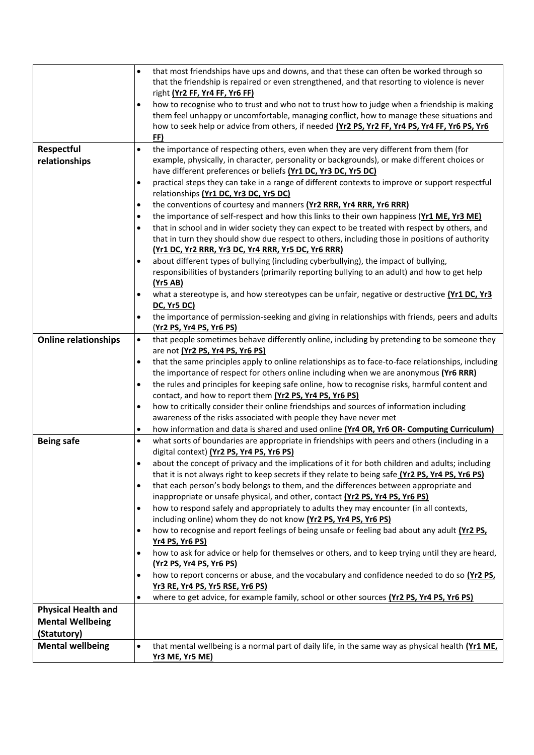|                             | that most friendships have ups and downs, and that these can often be worked through so<br>$\bullet$                                                                                                  |
|-----------------------------|-------------------------------------------------------------------------------------------------------------------------------------------------------------------------------------------------------|
|                             | that the friendship is repaired or even strengthened, and that resorting to violence is never                                                                                                         |
|                             | right (Yr2 FF, Yr4 FF, Yr6 FF)                                                                                                                                                                        |
|                             | how to recognise who to trust and who not to trust how to judge when a friendship is making<br>$\bullet$<br>them feel unhappy or uncomfortable, managing conflict, how to manage these situations and |
|                             | how to seek help or advice from others, if needed (Yr2 PS, Yr2 FF, Yr4 PS, Yr4 FF, Yr6 PS, Yr6                                                                                                        |
|                             | FF)                                                                                                                                                                                                   |
| Respectful                  | the importance of respecting others, even when they are very different from them (for<br>$\bullet$                                                                                                    |
| relationships               | example, physically, in character, personality or backgrounds), or make different choices or                                                                                                          |
|                             | have different preferences or beliefs (Yr1 DC, Yr3 DC, Yr5 DC)                                                                                                                                        |
|                             | practical steps they can take in a range of different contexts to improve or support respectful<br>$\bullet$                                                                                          |
|                             | relationships (Yr1 DC, Yr3 DC, Yr5 DC)                                                                                                                                                                |
|                             | the conventions of courtesy and manners (Yr2 RRR, Yr4 RRR, Yr6 RRR)                                                                                                                                   |
|                             | the importance of self-respect and how this links to their own happiness (Yr1 ME, Yr3 ME)<br>$\bullet$                                                                                                |
|                             | that in school and in wider society they can expect to be treated with respect by others, and<br>$\bullet$                                                                                            |
|                             | that in turn they should show due respect to others, including those in positions of authority                                                                                                        |
|                             | (Yr1 DC, Yr2 RRR, Yr3 DC, Yr4 RRR, Yr5 DC, Yr6 RRR)                                                                                                                                                   |
|                             | about different types of bullying (including cyberbullying), the impact of bullying,<br>responsibilities of bystanders (primarily reporting bullying to an adult) and how to get help                 |
|                             | (Yr5 AB)                                                                                                                                                                                              |
|                             | what a stereotype is, and how stereotypes can be unfair, negative or destructive (Yr1 DC, Yr3                                                                                                         |
|                             | <b>DC, Yr5 DC)</b>                                                                                                                                                                                    |
|                             | the importance of permission-seeking and giving in relationships with friends, peers and adults                                                                                                       |
|                             | (Yr2 PS, Yr4 PS, Yr6 PS)                                                                                                                                                                              |
| <b>Online relationships</b> | that people sometimes behave differently online, including by pretending to be someone they<br>$\bullet$                                                                                              |
|                             | are not (Yr2 PS, Yr4 PS, Yr6 PS)                                                                                                                                                                      |
|                             | that the same principles apply to online relationships as to face-to-face relationships, including<br>$\bullet$                                                                                       |
|                             | the importance of respect for others online including when we are anonymous (Yr6 RRR)                                                                                                                 |
|                             | the rules and principles for keeping safe online, how to recognise risks, harmful content and<br>$\bullet$                                                                                            |
|                             | contact, and how to report them (Yr2 PS, Yr4 PS, Yr6 PS)                                                                                                                                              |
|                             | how to critically consider their online friendships and sources of information including<br>$\bullet$<br>awareness of the risks associated with people they have never met                            |
|                             | how information and data is shared and used online (Yr4 OR, Yr6 OR- Computing Curriculum)<br>٠                                                                                                        |
| <b>Being safe</b>           | what sorts of boundaries are appropriate in friendships with peers and others (including in a<br>$\bullet$                                                                                            |
|                             | digital context) (Yr2 PS, Yr4 PS, Yr6 PS)                                                                                                                                                             |
|                             | about the concept of privacy and the implications of it for both children and adults; including<br>$\bullet$                                                                                          |
|                             | that it is not always right to keep secrets if they relate to being safe (Yr2 PS, Yr4 PS, Yr6 PS)                                                                                                     |
|                             | that each person's body belongs to them, and the differences between appropriate and<br>$\bullet$                                                                                                     |
|                             | inappropriate or unsafe physical, and other, contact (Yr2 PS, Yr4 PS, Yr6 PS)                                                                                                                         |
|                             | how to respond safely and appropriately to adults they may encounter (in all contexts,<br>$\bullet$                                                                                                   |
|                             | including online) whom they do not know (Yr2 PS, Yr4 PS, Yr6 PS)                                                                                                                                      |
|                             | how to recognise and report feelings of being unsafe or feeling bad about any adult (Yr2 PS,<br>$\bullet$                                                                                             |
|                             | <b>Yr4 PS, Yr6 PS)</b>                                                                                                                                                                                |
|                             | how to ask for advice or help for themselves or others, and to keep trying until they are heard,<br>(Yr2 PS, Yr4 PS, Yr6 PS)                                                                          |
|                             | how to report concerns or abuse, and the vocabulary and confidence needed to do so (Yr2 PS,<br>٠                                                                                                      |
|                             | Yr3 RE, Yr4 PS, Yr5 RSE, Yr6 PS)                                                                                                                                                                      |
|                             | where to get advice, for example family, school or other sources (Yr2 PS, Yr4 PS, Yr6 PS)<br>٠                                                                                                        |
| <b>Physical Health and</b>  |                                                                                                                                                                                                       |
| <b>Mental Wellbeing</b>     |                                                                                                                                                                                                       |
| (Statutory)                 |                                                                                                                                                                                                       |
| <b>Mental wellbeing</b>     | that mental wellbeing is a normal part of daily life, in the same way as physical health (Yr1 ME,<br>$\bullet$                                                                                        |
|                             | <b>Yr3 ME, Yr5 ME)</b>                                                                                                                                                                                |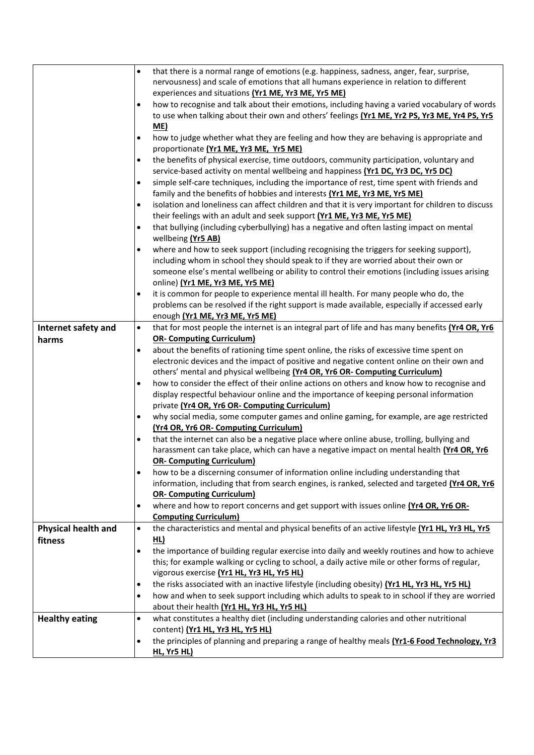|                            | that there is a normal range of emotions (e.g. happiness, sadness, anger, fear, surprise,<br>$\bullet$          |
|----------------------------|-----------------------------------------------------------------------------------------------------------------|
|                            | nervousness) and scale of emotions that all humans experience in relation to different                          |
|                            | experiences and situations (Yr1 ME, Yr3 ME, Yr5 ME)                                                             |
|                            | how to recognise and talk about their emotions, including having a varied vocabulary of words<br>$\bullet$      |
|                            | to use when talking about their own and others' feelings (Yr1 ME, Yr2 PS, Yr3 ME, Yr4 PS, Yr5                   |
|                            | <u>ME)</u>                                                                                                      |
|                            | how to judge whether what they are feeling and how they are behaving is appropriate and<br>٠                    |
|                            | proportionate (Yr1 ME, Yr3 ME, Yr5 ME)                                                                          |
|                            | the benefits of physical exercise, time outdoors, community participation, voluntary and<br>$\bullet$           |
|                            | service-based activity on mental wellbeing and happiness (Yr1 DC, Yr3 DC, Yr5 DC)                               |
|                            | simple self-care techniques, including the importance of rest, time spent with friends and<br>$\bullet$         |
|                            | family and the benefits of hobbies and interests (Yr1 ME, Yr3 ME, Yr5 ME)                                       |
|                            | isolation and loneliness can affect children and that it is very important for children to discuss<br>$\bullet$ |
|                            | their feelings with an adult and seek support (Yr1 ME, Yr3 ME, Yr5 ME)                                          |
|                            | that bullying (including cyberbullying) has a negative and often lasting impact on mental<br>$\bullet$          |
|                            | wellbeing (Yr5 AB)                                                                                              |
|                            | where and how to seek support (including recognising the triggers for seeking support),                         |
|                            | including whom in school they should speak to if they are worried about their own or                            |
|                            | someone else's mental wellbeing or ability to control their emotions (including issues arising                  |
|                            | online) (Yr1 ME, Yr3 ME, Yr5 ME)                                                                                |
|                            | it is common for people to experience mental ill health. For many people who do, the<br>٠                       |
|                            | problems can be resolved if the right support is made available, especially if accessed early                   |
|                            | enough (Yr1 ME, Yr3 ME, Yr5 ME)                                                                                 |
| Internet safety and        | that for most people the internet is an integral part of life and has many benefits (Yr4 OR, Yr6<br>$\bullet$   |
| harms                      | <b>OR- Computing Curriculum)</b>                                                                                |
|                            | about the benefits of rationing time spent online, the risks of excessive time spent on<br>$\bullet$            |
|                            | electronic devices and the impact of positive and negative content online on their own and                      |
|                            | others' mental and physical wellbeing (Yr4 OR, Yr6 OR- Computing Curriculum)                                    |
|                            | how to consider the effect of their online actions on others and know how to recognise and<br>$\bullet$         |
|                            | display respectful behaviour online and the importance of keeping personal information                          |
|                            | private (Yr4 OR, Yr6 OR- Computing Curriculum)                                                                  |
|                            | why social media, some computer games and online gaming, for example, are age restricted<br>٠                   |
|                            | (Yr4 OR, Yr6 OR- Computing Curriculum)                                                                          |
|                            | that the internet can also be a negative place where online abuse, trolling, bullying and<br>٠                  |
|                            | harassment can take place, which can have a negative impact on mental health (Yr4 OR, Yr6                       |
|                            | <b>OR- Computing Curriculum)</b>                                                                                |
|                            | how to be a discerning consumer of information online including understanding that<br>$\bullet$                 |
|                            | information, including that from search engines, is ranked, selected and targeted (Yr4 OR, Yr6                  |
|                            | <b>OR- Computing Curriculum)</b>                                                                                |
|                            | where and how to report concerns and get support with issues online (Yr4 OR, Yr6 OR-<br>٠                       |
|                            | <b>Computing Curriculum)</b>                                                                                    |
| <b>Physical health and</b> | the characteristics and mental and physical benefits of an active lifestyle (Yr1 HL, Yr3 HL, Yr5<br>$\bullet$   |
| fitness                    | <u>HL)</u>                                                                                                      |
|                            | the importance of building regular exercise into daily and weekly routines and how to achieve<br>$\bullet$      |
|                            | this; for example walking or cycling to school, a daily active mile or other forms of regular,                  |
|                            | vigorous exercise (Yr1 HL, Yr3 HL, Yr5 HL)                                                                      |
|                            | the risks associated with an inactive lifestyle (including obesity) (Yr1 HL, Yr3 HL, Yr5 HL)<br>٠               |
|                            | how and when to seek support including which adults to speak to in school if they are worried<br>$\bullet$      |
|                            | about their health (Yr1 HL, Yr3 HL, Yr5 HL)                                                                     |
| <b>Healthy eating</b>      | what constitutes a healthy diet (including understanding calories and other nutritional<br>$\bullet$            |
|                            | content) (Yr1 HL, Yr3 HL, Yr5 HL)                                                                               |
|                            | the principles of planning and preparing a range of healthy meals (Yr1-6 Food Technology, Yr3<br>$\bullet$      |
|                            | HL, Yr5 HL)                                                                                                     |